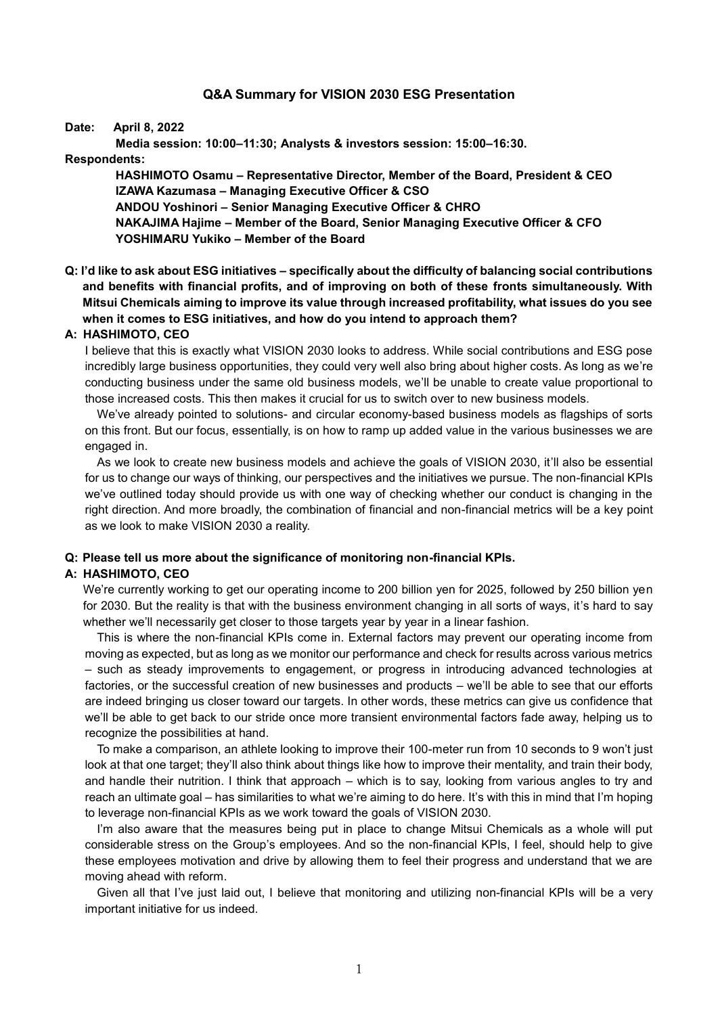#### **Q&A Summary for VISION 2030 ESG Presentation**

#### **Date: April 8, 2022**

**Media session: 10:00–11:30; Analysts & investors session: 15:00–16:30.**

#### **Respondents:**

**HASHIMOTO Osamu – Representative Director, Member of the Board, President & CEO IZAWA Kazumasa – Managing Executive Officer & CSO ANDOU Yoshinori – Senior Managing Executive Officer & CHRO NAKAJIMA Hajime – Member of the Board, Senior Managing Executive Officer & CFO YOSHIMARU Yukiko – Member of the Board**

**Q: I'd like to ask about ESG initiatives – specifically about the difficulty of balancing social contributions and benefits with financial profits, and of improving on both of these fronts simultaneously. With Mitsui Chemicals aiming to improve its value through increased profitability, what issues do you see when it comes to ESG initiatives, and how do you intend to approach them?**

#### **A: HASHIMOTO, CEO**

I believe that this is exactly what VISION 2030 looks to address. While social contributions and ESG pose incredibly large business opportunities, they could very well also bring about higher costs. As long as we're conducting business under the same old business models, we'll be unable to create value proportional to those increased costs. This then makes it crucial for us to switch over to new business models.

We've already pointed to solutions- and circular economy-based business models as flagships of sorts on this front. But our focus, essentially, is on how to ramp up added value in the various businesses we are engaged in.

As we look to create new business models and achieve the goals of VISION 2030, it'll also be essential for us to change our ways of thinking, our perspectives and the initiatives we pursue. The non-financial KPIs we've outlined today should provide us with one way of checking whether our conduct is changing in the right direction. And more broadly, the combination of financial and non-financial metrics will be a key point as we look to make VISION 2030 a reality.

#### **Q: Please tell us more about the significance of monitoring non-financial KPIs.**

#### **A: HASHIMOTO, CEO**

We're currently working to get our operating income to 200 billion yen for 2025, followed by 250 billion yen for 2030. But the reality is that with the business environment changing in all sorts of ways, it's hard to say whether we'll necessarily get closer to those targets year by year in a linear fashion.

This is where the non-financial KPIs come in. External factors may prevent our operating income from moving as expected, but as long as we monitor our performance and check for results across various metrics – such as steady improvements to engagement, or progress in introducing advanced technologies at factories, or the successful creation of new businesses and products – we'll be able to see that our efforts are indeed bringing us closer toward our targets. In other words, these metrics can give us confidence that we'll be able to get back to our stride once more transient environmental factors fade away, helping us to recognize the possibilities at hand.

To make a comparison, an athlete looking to improve their 100-meter run from 10 seconds to 9 won't just look at that one target; they'll also think about things like how to improve their mentality, and train their body, and handle their nutrition. I think that approach – which is to say, looking from various angles to try and reach an ultimate goal – has similarities to what we're aiming to do here. It's with this in mind that I'm hoping to leverage non-financial KPIs as we work toward the goals of VISION 2030.

I'm also aware that the measures being put in place to change Mitsui Chemicals as a whole will put considerable stress on the Group's employees. And so the non-financial KPIs, I feel, should help to give these employees motivation and drive by allowing them to feel their progress and understand that we are moving ahead with reform.

Given all that I've just laid out, I believe that monitoring and utilizing non-financial KPIs will be a very important initiative for us indeed.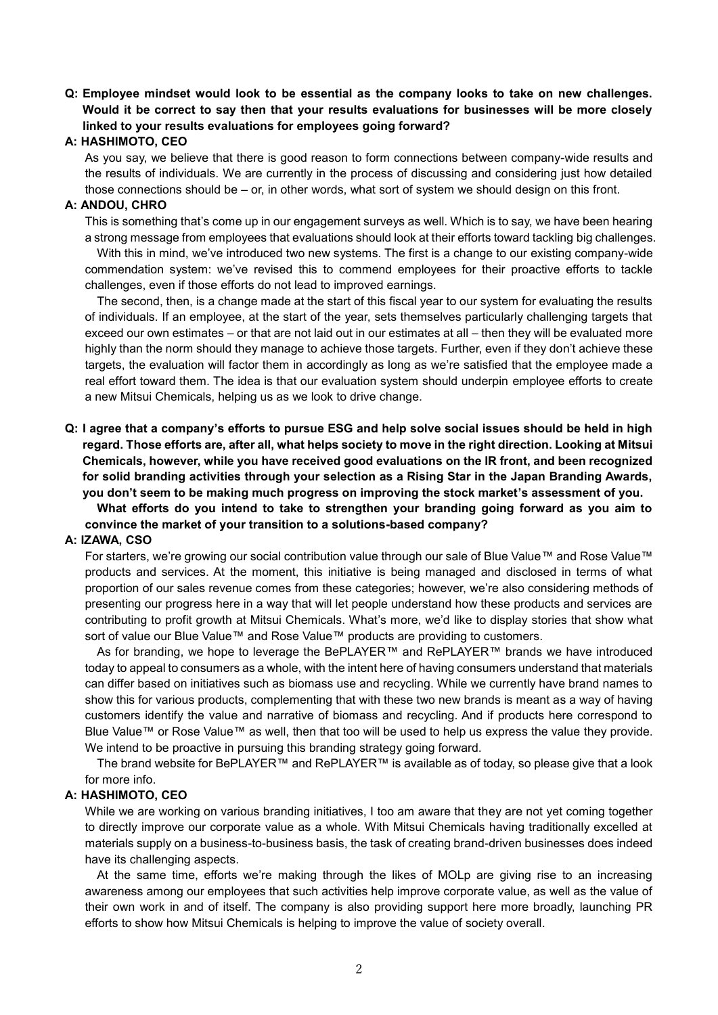## **Q: Employee mindset would look to be essential as the company looks to take on new challenges. Would it be correct to say then that your results evaluations for businesses will be more closely linked to your results evaluations for employees going forward?**

### **A: HASHIMOTO, CEO**

As you say, we believe that there is good reason to form connections between company-wide results and the results of individuals. We are currently in the process of discussing and considering just how detailed those connections should be – or, in other words, what sort of system we should design on this front.

### **A: ANDOU, CHRO**

This is something that's come up in our engagement surveys as well. Which is to say, we have been hearing a strong message from employees that evaluations should look at their efforts toward tackling big challenges.

With this in mind, we've introduced two new systems. The first is a change to our existing company-wide commendation system: we've revised this to commend employees for their proactive efforts to tackle challenges, even if those efforts do not lead to improved earnings.

The second, then, is a change made at the start of this fiscal year to our system for evaluating the results of individuals. If an employee, at the start of the year, sets themselves particularly challenging targets that exceed our own estimates – or that are not laid out in our estimates at all – then they will be evaluated more highly than the norm should they manage to achieve those targets. Further, even if they don't achieve these targets, the evaluation will factor them in accordingly as long as we're satisfied that the employee made a real effort toward them. The idea is that our evaluation system should underpin employee efforts to create a new Mitsui Chemicals, helping us as we look to drive change.

# **Q: I agree that a company's efforts to pursue ESG and help solve social issues should be held in high regard. Those efforts are, after all, what helps society to move in the right direction. Looking at Mitsui Chemicals, however, while you have received good evaluations on the IR front, and been recognized for solid branding activities through your selection as a Rising Star in the Japan Branding Awards, you don't seem to be making much progress on improving the stock market's assessment of you. What efforts do you intend to take to strengthen your branding going forward as you aim to convince the market of your transition to a solutions-based company?**

### **A: IZAWA, CSO**

For starters, we're growing our social contribution value through our sale of Blue Value™ and Rose Value™ products and services. At the moment, this initiative is being managed and disclosed in terms of what proportion of our sales revenue comes from these categories; however, we're also considering methods of presenting our progress here in a way that will let people understand how these products and services are contributing to profit growth at Mitsui Chemicals. What's more, we'd like to display stories that show what sort of value our Blue Value™ and Rose Value™ products are providing to customers.

As for branding, we hope to leverage the BePLAYER™ and RePLAYER™ brands we have introduced today to appeal to consumers as a whole, with the intent here of having consumers understand that materials can differ based on initiatives such as biomass use and recycling. While we currently have brand names to show this for various products, complementing that with these two new brands is meant as a way of having customers identify the value and narrative of biomass and recycling. And if products here correspond to Blue Value™ or Rose Value™ as well, then that too will be used to help us express the value they provide. We intend to be proactive in pursuing this branding strategy going forward.

The brand website for BePLAYER™ and RePLAYER™ is available as of today, so please give that a look for more info.

#### **A: HASHIMOTO, CEO**

While we are working on various branding initiatives, I too am aware that they are not yet coming together to directly improve our corporate value as a whole. With Mitsui Chemicals having traditionally excelled at materials supply on a business-to-business basis, the task of creating brand-driven businesses does indeed have its challenging aspects.

At the same time, efforts we're making through the likes of MOLp are giving rise to an increasing awareness among our employees that such activities help improve corporate value, as well as the value of their own work in and of itself. The company is also providing support here more broadly, launching PR efforts to show how Mitsui Chemicals is helping to improve the value of society overall.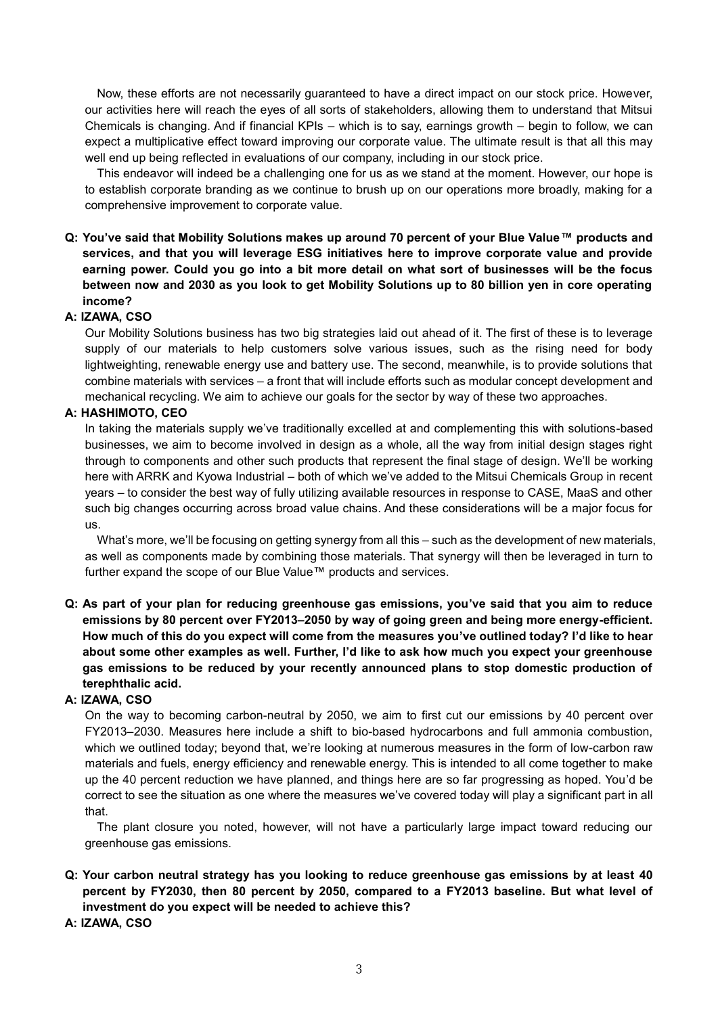Now, these efforts are not necessarily guaranteed to have a direct impact on our stock price. However, our activities here will reach the eyes of all sorts of stakeholders, allowing them to understand that Mitsui Chemicals is changing. And if financial KPIs – which is to say, earnings growth – begin to follow, we can expect a multiplicative effect toward improving our corporate value. The ultimate result is that all this may well end up being reflected in evaluations of our company, including in our stock price.

This endeavor will indeed be a challenging one for us as we stand at the moment. However, our hope is to establish corporate branding as we continue to brush up on our operations more broadly, making for a comprehensive improvement to corporate value.

# **Q: You've said that Mobility Solutions makes up around 70 percent of your Blue Value™ products and services, and that you will leverage ESG initiatives here to improve corporate value and provide earning power. Could you go into a bit more detail on what sort of businesses will be the focus between now and 2030 as you look to get Mobility Solutions up to 80 billion yen in core operating income?**

## **A: IZAWA, CSO**

Our Mobility Solutions business has two big strategies laid out ahead of it. The first of these is to leverage supply of our materials to help customers solve various issues, such as the rising need for body lightweighting, renewable energy use and battery use. The second, meanwhile, is to provide solutions that combine materials with services – a front that will include efforts such as modular concept development and mechanical recycling. We aim to achieve our goals for the sector by way of these two approaches.

### **A: HASHIMOTO, CEO**

In taking the materials supply we've traditionally excelled at and complementing this with solutions-based businesses, we aim to become involved in design as a whole, all the way from initial design stages right through to components and other such products that represent the final stage of design. We'll be working here with ARRK and Kyowa Industrial – both of which we've added to the Mitsui Chemicals Group in recent years – to consider the best way of fully utilizing available resources in response to CASE, MaaS and other such big changes occurring across broad value chains. And these considerations will be a major focus for us.

What's more, we'll be focusing on getting synergy from all this – such as the development of new materials, as well as components made by combining those materials. That synergy will then be leveraged in turn to further expand the scope of our Blue Value™ products and services.

**Q: As part of your plan for reducing greenhouse gas emissions, you've said that you aim to reduce emissions by 80 percent over FY2013–2050 by way of going green and being more energy-efficient. How much of this do you expect will come from the measures you've outlined today? I'd like to hear about some other examples as well. Further, I'd like to ask how much you expect your greenhouse gas emissions to be reduced by your recently announced plans to stop domestic production of terephthalic acid.**

### **A: IZAWA, CSO**

On the way to becoming carbon-neutral by 2050, we aim to first cut our emissions by 40 percent over FY2013–2030. Measures here include a shift to bio-based hydrocarbons and full ammonia combustion, which we outlined today; beyond that, we're looking at numerous measures in the form of low-carbon raw materials and fuels, energy efficiency and renewable energy. This is intended to all come together to make up the 40 percent reduction we have planned, and things here are so far progressing as hoped. You'd be correct to see the situation as one where the measures we've covered today will play a significant part in all that.

The plant closure you noted, however, will not have a particularly large impact toward reducing our greenhouse gas emissions.

# **Q: Your carbon neutral strategy has you looking to reduce greenhouse gas emissions by at least 40 percent by FY2030, then 80 percent by 2050, compared to a FY2013 baseline. But what level of investment do you expect will be needed to achieve this?**

**A: IZAWA, CSO**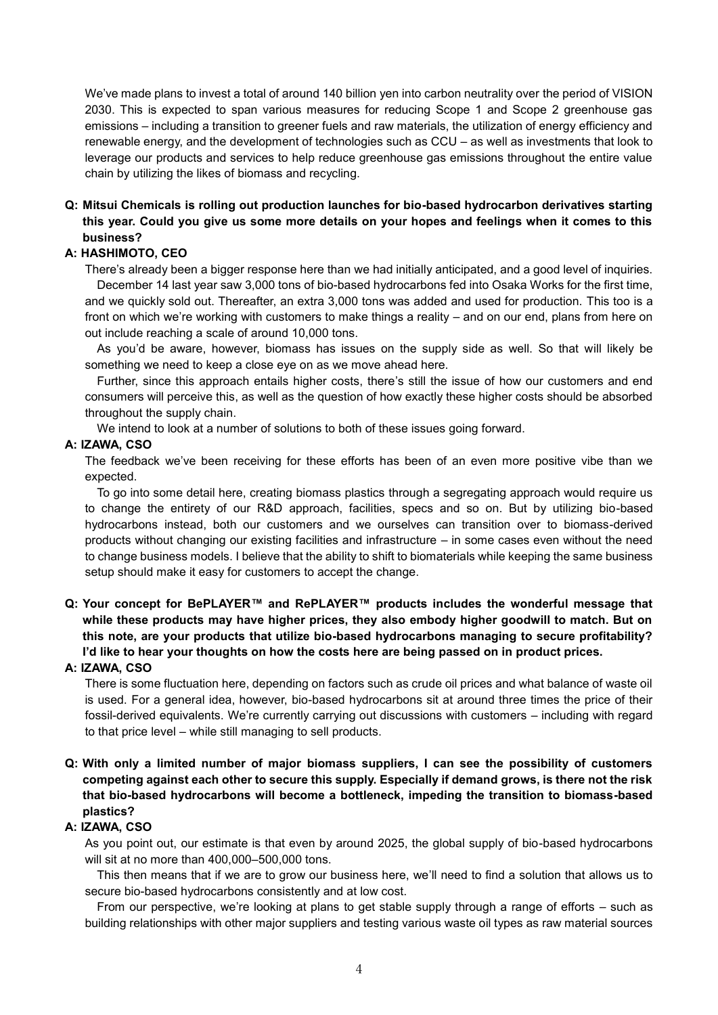We've made plans to invest a total of around 140 billion yen into carbon neutrality over the period of VISION 2030. This is expected to span various measures for reducing Scope 1 and Scope 2 greenhouse gas emissions – including a transition to greener fuels and raw materials, the utilization of energy efficiency and renewable energy, and the development of technologies such as CCU – as well as investments that look to leverage our products and services to help reduce greenhouse gas emissions throughout the entire value chain by utilizing the likes of biomass and recycling.

# **Q: Mitsui Chemicals is rolling out production launches for bio-based hydrocarbon derivatives starting this year. Could you give us some more details on your hopes and feelings when it comes to this business?**

## **A: HASHIMOTO, CEO**

There's already been a bigger response here than we had initially anticipated, and a good level of inquiries. December 14 last year saw 3,000 tons of bio-based hydrocarbons fed into Osaka Works for the first time, and we quickly sold out. Thereafter, an extra 3,000 tons was added and used for production. This too is a front on which we're working with customers to make things a reality – and on our end, plans from here on out include reaching a scale of around 10,000 tons.

As you'd be aware, however, biomass has issues on the supply side as well. So that will likely be something we need to keep a close eye on as we move ahead here.

Further, since this approach entails higher costs, there's still the issue of how our customers and end consumers will perceive this, as well as the question of how exactly these higher costs should be absorbed throughout the supply chain.

We intend to look at a number of solutions to both of these issues going forward.

## **A: IZAWA, CSO**

The feedback we've been receiving for these efforts has been of an even more positive vibe than we expected.

To go into some detail here, creating biomass plastics through a segregating approach would require us to change the entirety of our R&D approach, facilities, specs and so on. But by utilizing bio-based hydrocarbons instead, both our customers and we ourselves can transition over to biomass-derived products without changing our existing facilities and infrastructure – in some cases even without the need to change business models. I believe that the ability to shift to biomaterials while keeping the same business setup should make it easy for customers to accept the change.

**Q: Your concept for BePLAYER™ and RePLAYER™ products includes the wonderful message that while these products may have higher prices, they also embody higher goodwill to match. But on this note, are your products that utilize bio-based hydrocarbons managing to secure profitability? I'd like to hear your thoughts on how the costs here are being passed on in product prices.**

## **A: IZAWA, CSO**

There is some fluctuation here, depending on factors such as crude oil prices and what balance of waste oil is used. For a general idea, however, bio-based hydrocarbons sit at around three times the price of their fossil-derived equivalents. We're currently carrying out discussions with customers – including with regard to that price level – while still managing to sell products.

# **Q: With only a limited number of major biomass suppliers, I can see the possibility of customers competing against each other to secure this supply. Especially if demand grows, is there not the risk that bio-based hydrocarbons will become a bottleneck, impeding the transition to biomass-based plastics?**

## **A: IZAWA, CSO**

As you point out, our estimate is that even by around 2025, the global supply of bio-based hydrocarbons will sit at no more than 400,000–500,000 tons.

This then means that if we are to grow our business here, we'll need to find a solution that allows us to secure bio-based hydrocarbons consistently and at low cost.

From our perspective, we're looking at plans to get stable supply through a range of efforts – such as building relationships with other major suppliers and testing various waste oil types as raw material sources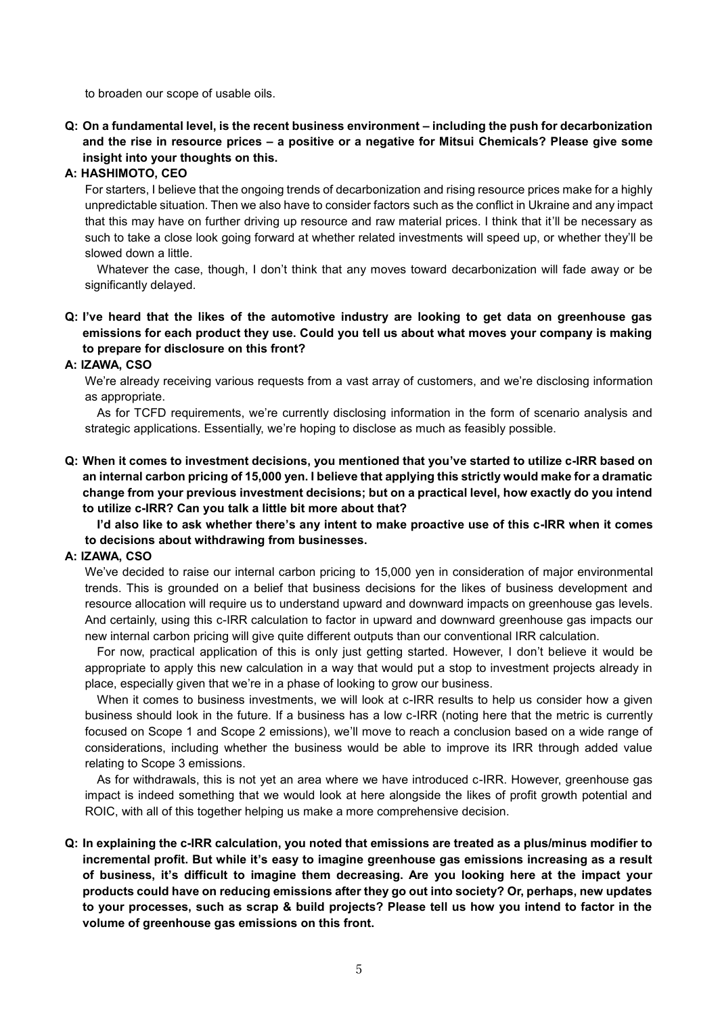to broaden our scope of usable oils.

**Q: On a fundamental level, is the recent business environment – including the push for decarbonization and the rise in resource prices – a positive or a negative for Mitsui Chemicals? Please give some insight into your thoughts on this.**

### **A: HASHIMOTO, CEO**

For starters, I believe that the ongoing trends of decarbonization and rising resource prices make for a highly unpredictable situation. Then we also have to consider factors such as the conflict in Ukraine and any impact that this may have on further driving up resource and raw material prices. I think that it'll be necessary as such to take a close look going forward at whether related investments will speed up, or whether they'll be slowed down a little.

Whatever the case, though, I don't think that any moves toward decarbonization will fade away or be significantly delayed.

## **Q: I've heard that the likes of the automotive industry are looking to get data on greenhouse gas emissions for each product they use. Could you tell us about what moves your company is making to prepare for disclosure on this front?**

### **A: IZAWA, CSO**

We're already receiving various requests from a vast array of customers, and we're disclosing information as appropriate.

As for TCFD requirements, we're currently disclosing information in the form of scenario analysis and strategic applications. Essentially, we're hoping to disclose as much as feasibly possible.

**Q: When it comes to investment decisions, you mentioned that you've started to utilize c-IRR based on an internal carbon pricing of 15,000 yen. I believe that applying this strictly would make for a dramatic change from your previous investment decisions; but on a practical level, how exactly do you intend to utilize c-IRR? Can you talk a little bit more about that?**

**I'd also like to ask whether there's any intent to make proactive use of this c-IRR when it comes to decisions about withdrawing from businesses.**

### **A: IZAWA, CSO**

We've decided to raise our internal carbon pricing to 15,000 yen in consideration of major environmental trends. This is grounded on a belief that business decisions for the likes of business development and resource allocation will require us to understand upward and downward impacts on greenhouse gas levels. And certainly, using this c-IRR calculation to factor in upward and downward greenhouse gas impacts our new internal carbon pricing will give quite different outputs than our conventional IRR calculation.

For now, practical application of this is only just getting started. However, I don't believe it would be appropriate to apply this new calculation in a way that would put a stop to investment projects already in place, especially given that we're in a phase of looking to grow our business.

When it comes to business investments, we will look at c-IRR results to help us consider how a given business should look in the future. If a business has a low c-IRR (noting here that the metric is currently focused on Scope 1 and Scope 2 emissions), we'll move to reach a conclusion based on a wide range of considerations, including whether the business would be able to improve its IRR through added value relating to Scope 3 emissions.

As for withdrawals, this is not yet an area where we have introduced c-IRR. However, greenhouse gas impact is indeed something that we would look at here alongside the likes of profit growth potential and ROIC, with all of this together helping us make a more comprehensive decision.

**Q: In explaining the c-IRR calculation, you noted that emissions are treated as a plus/minus modifier to incremental profit. But while it's easy to imagine greenhouse gas emissions increasing as a result of business, it's difficult to imagine them decreasing. Are you looking here at the impact your products could have on reducing emissions after they go out into society? Or, perhaps, new updates to your processes, such as scrap & build projects? Please tell us how you intend to factor in the volume of greenhouse gas emissions on this front.**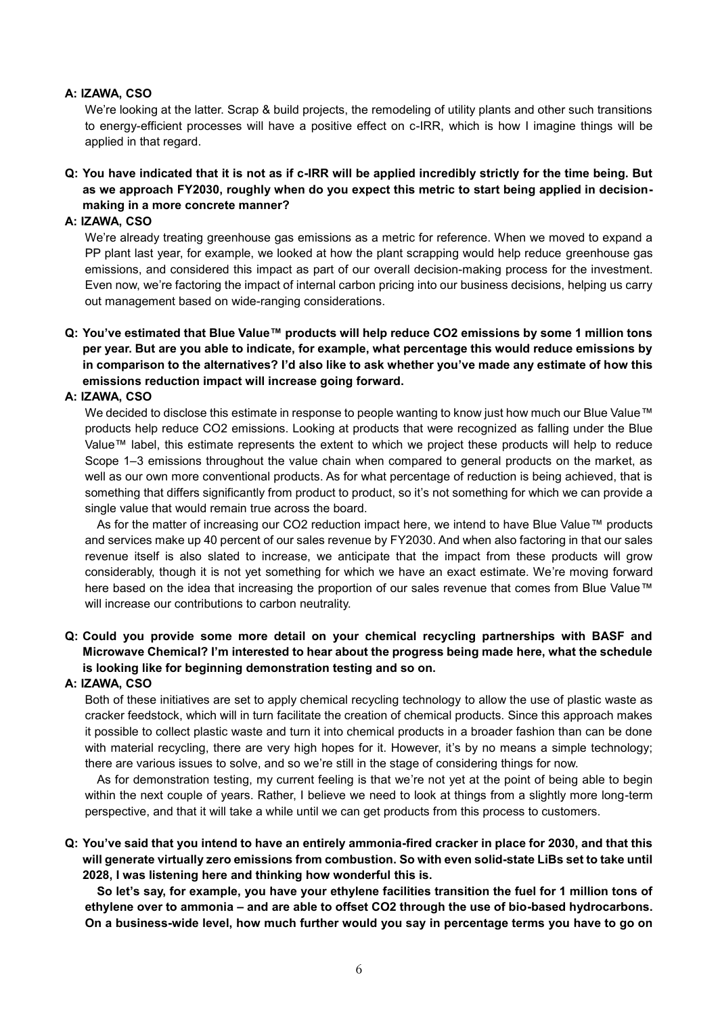## **A: IZAWA, CSO**

We're looking at the latter. Scrap & build projects, the remodeling of utility plants and other such transitions to energy-efficient processes will have a positive effect on c-IRR, which is how I imagine things will be applied in that regard.

# **Q: You have indicated that it is not as if c-IRR will be applied incredibly strictly for the time being. But as we approach FY2030, roughly when do you expect this metric to start being applied in decisionmaking in a more concrete manner?**

## **A: IZAWA, CSO**

We're already treating greenhouse gas emissions as a metric for reference. When we moved to expand a PP plant last year, for example, we looked at how the plant scrapping would help reduce greenhouse gas emissions, and considered this impact as part of our overall decision-making process for the investment. Even now, we're factoring the impact of internal carbon pricing into our business decisions, helping us carry out management based on wide-ranging considerations.

# **Q: You've estimated that Blue Value™ products will help reduce CO2 emissions by some 1 million tons per year. But are you able to indicate, for example, what percentage this would reduce emissions by in comparison to the alternatives? I'd also like to ask whether you've made any estimate of how this emissions reduction impact will increase going forward.**

## **A: IZAWA, CSO**

We decided to disclose this estimate in response to people wanting to know just how much our Blue Value™ products help reduce CO2 emissions. Looking at products that were recognized as falling under the Blue Value™ label, this estimate represents the extent to which we project these products will help to reduce Scope 1–3 emissions throughout the value chain when compared to general products on the market, as well as our own more conventional products. As for what percentage of reduction is being achieved, that is something that differs significantly from product to product, so it's not something for which we can provide a single value that would remain true across the board.

As for the matter of increasing our CO2 reduction impact here, we intend to have Blue Value™ products and services make up 40 percent of our sales revenue by FY2030. And when also factoring in that our sales revenue itself is also slated to increase, we anticipate that the impact from these products will grow considerably, though it is not yet something for which we have an exact estimate. We're moving forward here based on the idea that increasing the proportion of our sales revenue that comes from Blue Value™ will increase our contributions to carbon neutrality.

# **Q: Could you provide some more detail on your chemical recycling partnerships with BASF and Microwave Chemical? I'm interested to hear about the progress being made here, what the schedule is looking like for beginning demonstration testing and so on.**

## **A: IZAWA, CSO**

Both of these initiatives are set to apply chemical recycling technology to allow the use of plastic waste as cracker feedstock, which will in turn facilitate the creation of chemical products. Since this approach makes it possible to collect plastic waste and turn it into chemical products in a broader fashion than can be done with material recycling, there are very high hopes for it. However, it's by no means a simple technology; there are various issues to solve, and so we're still in the stage of considering things for now.

As for demonstration testing, my current feeling is that we're not yet at the point of being able to begin within the next couple of years. Rather, I believe we need to look at things from a slightly more long-term perspective, and that it will take a while until we can get products from this process to customers.

**Q: You've said that you intend to have an entirely ammonia-fired cracker in place for 2030, and that this will generate virtually zero emissions from combustion. So with even solid-state LiBs set to take until 2028, I was listening here and thinking how wonderful this is.**

**So let's say, for example, you have your ethylene facilities transition the fuel for 1 million tons of ethylene over to ammonia – and are able to offset CO2 through the use of bio-based hydrocarbons. On a business-wide level, how much further would you say in percentage terms you have to go on**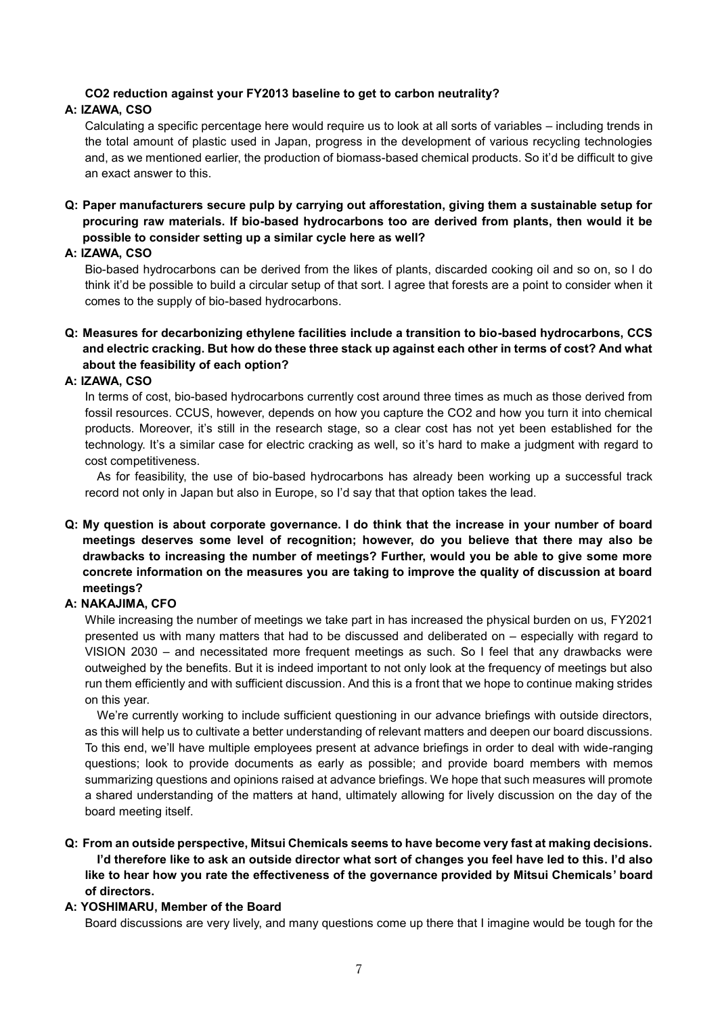## **CO2 reduction against your FY2013 baseline to get to carbon neutrality?**

## **A: IZAWA, CSO**

Calculating a specific percentage here would require us to look at all sorts of variables – including trends in the total amount of plastic used in Japan, progress in the development of various recycling technologies and, as we mentioned earlier, the production of biomass-based chemical products. So it'd be difficult to give an exact answer to this.

**Q: Paper manufacturers secure pulp by carrying out afforestation, giving them a sustainable setup for procuring raw materials. If bio-based hydrocarbons too are derived from plants, then would it be possible to consider setting up a similar cycle here as well?**

## **A: IZAWA, CSO**

Bio-based hydrocarbons can be derived from the likes of plants, discarded cooking oil and so on, so I do think it'd be possible to build a circular setup of that sort. I agree that forests are a point to consider when it comes to the supply of bio-based hydrocarbons.

## **Q: Measures for decarbonizing ethylene facilities include a transition to bio-based hydrocarbons, CCS and electric cracking. But how do these three stack up against each other in terms of cost? And what about the feasibility of each option?**

### **A: IZAWA, CSO**

In terms of cost, bio-based hydrocarbons currently cost around three times as much as those derived from fossil resources. CCUS, however, depends on how you capture the CO2 and how you turn it into chemical products. Moreover, it's still in the research stage, so a clear cost has not yet been established for the technology. It's a similar case for electric cracking as well, so it's hard to make a judgment with regard to cost competitiveness.

As for feasibility, the use of bio-based hydrocarbons has already been working up a successful track record not only in Japan but also in Europe, so I'd say that that option takes the lead.

# **Q: My question is about corporate governance. I do think that the increase in your number of board meetings deserves some level of recognition; however, do you believe that there may also be drawbacks to increasing the number of meetings? Further, would you be able to give some more concrete information on the measures you are taking to improve the quality of discussion at board meetings?**

## **A: NAKAJIMA, CFO**

While increasing the number of meetings we take part in has increased the physical burden on us, FY2021 presented us with many matters that had to be discussed and deliberated on – especially with regard to VISION 2030 – and necessitated more frequent meetings as such. So I feel that any drawbacks were outweighed by the benefits. But it is indeed important to not only look at the frequency of meetings but also run them efficiently and with sufficient discussion. And this is a front that we hope to continue making strides on this year.

We're currently working to include sufficient questioning in our advance briefings with outside directors, as this will help us to cultivate a better understanding of relevant matters and deepen our board discussions. To this end, we'll have multiple employees present at advance briefings in order to deal with wide-ranging questions; look to provide documents as early as possible; and provide board members with memos summarizing questions and opinions raised at advance briefings. We hope that such measures will promote a shared understanding of the matters at hand, ultimately allowing for lively discussion on the day of the board meeting itself.

# **Q: From an outside perspective, Mitsui Chemicals seems to have become very fast at making decisions. I'd therefore like to ask an outside director what sort of changes you feel have led to this. I'd also like to hear how you rate the effectiveness of the governance provided by Mitsui Chemicals' board of directors.**

### **A: YOSHIMARU, Member of the Board**

Board discussions are very lively, and many questions come up there that I imagine would be tough for the